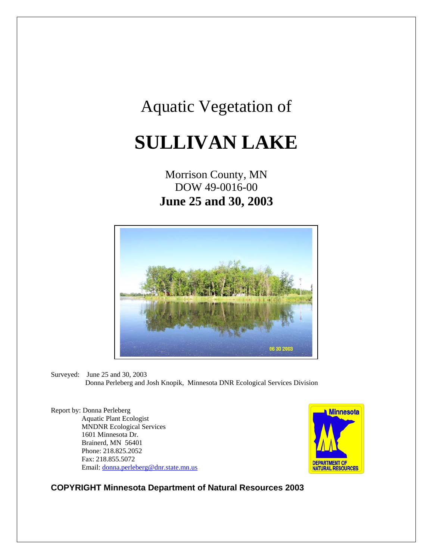## Aquatic Vegetation of

# **SULLIVAN LAKE**

## Morrison County, MN DOW 49-0016-00 **June 25 and 30, 2003**



Surveyed: June 25 and 30, 2003 Donna Perleberg and Josh Knopik, Minnesota DNR Ecological Services Division

Report by: Donna Perleberg Aquatic Plant Ecologist MNDNR Ecological Services 1601 Minnesota Dr. Brainerd, MN 56401 Phone: 218.825.2052 Fax: 218.855.5072 Email: [donna.perleberg@dnr.state.mn.us](mailto:donna.perleberg@dnr.state.mn.us)



**COPYRIGHT Minnesota Department of Natural Resources 2003**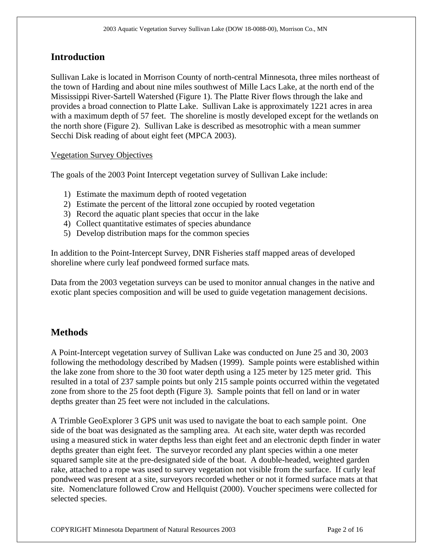## **Introduction**

Sullivan Lake is located in Morrison County of north-central Minnesota, three miles northeast of the town of Harding and about nine miles southwest of Mille Lacs Lake, at the north end of the Mississippi River-Sartell Watershed (Figure 1). The Platte River flows through the lake and provides a broad connection to Platte Lake. Sullivan Lake is approximately 1221 acres in area with a maximum depth of 57 feet. The shoreline is mostly developed except for the wetlands on the north shore (Figure 2). Sullivan Lake is described as mesotrophic with a mean summer Secchi Disk reading of about eight feet (MPCA 2003).

#### Vegetation Survey Objectives

The goals of the 2003 Point Intercept vegetation survey of Sullivan Lake include:

- 1) Estimate the maximum depth of rooted vegetation
- 2) Estimate the percent of the littoral zone occupied by rooted vegetation
- 3) Record the aquatic plant species that occur in the lake
- 4) Collect quantitative estimates of species abundance
- 5) Develop distribution maps for the common species

In addition to the Point-Intercept Survey, DNR Fisheries staff mapped areas of developed shoreline where curly leaf pondweed formed surface mats*.* 

Data from the 2003 vegetation surveys can be used to monitor annual changes in the native and exotic plant species composition and will be used to guide vegetation management decisions.

### **Methods**

A Point-Intercept vegetation survey of Sullivan Lake was conducted on June 25 and 30, 2003 following the methodology described by Madsen (1999). Sample points were established within the lake zone from shore to the 30 foot water depth using a 125 meter by 125 meter grid. This resulted in a total of 237 sample points but only 215 sample points occurred within the vegetated zone from shore to the 25 foot depth (Figure 3). Sample points that fell on land or in water depths greater than 25 feet were not included in the calculations.

A Trimble GeoExplorer 3 GPS unit was used to navigate the boat to each sample point. One side of the boat was designated as the sampling area. At each site, water depth was recorded using a measured stick in water depths less than eight feet and an electronic depth finder in water depths greater than eight feet. The surveyor recorded any plant species within a one meter squared sample site at the pre-designated side of the boat. A double-headed, weighted garden rake, attached to a rope was used to survey vegetation not visible from the surface. If curly leaf pondweed was present at a site, surveyors recorded whether or not it formed surface mats at that site. Nomenclature followed Crow and Hellquist (2000). Voucher specimens were collected for selected species.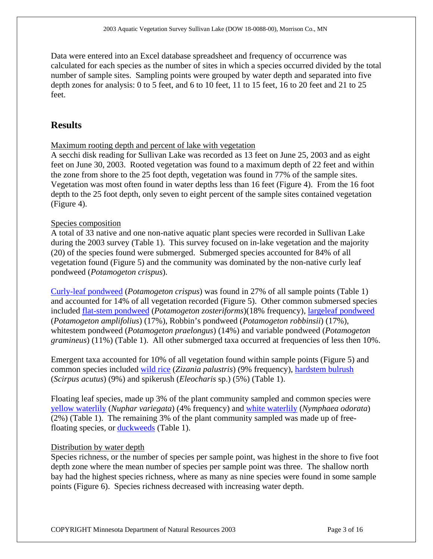Data were entered into an Excel database spreadsheet and frequency of occurrence was calculated for each species as the number of sites in which a species occurred divided by the total number of sample sites. Sampling points were grouped by water depth and separated into five depth zones for analysis: 0 to 5 feet, and 6 to 10 feet, 11 to 15 feet, 16 to 20 feet and 21 to 25 feet.

## **Results**

#### Maximum rooting depth and percent of lake with vegetation

A secchi disk reading for Sullivan Lake was recorded as 13 feet on June 25, 2003 and as eight feet on June 30, 2003. Rooted vegetation was found to a maximum depth of 22 feet and within the zone from shore to the 25 foot depth, vegetation was found in 77% of the sample sites. Vegetation was most often found in water depths less than 16 feet (Figure 4). From the 16 foot depth to the 25 foot depth, only seven to eight percent of the sample sites contained vegetation (Figure 4).

#### Species composition

A total of 33 native and one non-native aquatic plant species were recorded in Sullivan Lake during the 2003 survey (Table 1). This survey focused on in-lake vegetation and the majority (20) of the species found were submerged. Submerged species accounted for 84% of all vegetation found (Figure 5) and the community was dominated by the non-native curly leaf pondweed (*Potamogeton crispus*).

[Curly-leaf pondweed](http://www.dnr.state.mn.us/aquatic_plants/submerged_plants/curlyleaf_pondweed.html) (*Potamogeton crispus*) was found in 27% of all sample points (Table 1) and accounted for 14% of all vegetation recorded (Figure 5). Other common submersed species included [flat-stem pondweed](http://www.dnr.state.mn.us/aquatic_plants/submerged_plants/narrowleaf_pondweeds.html) (*Potamogeton zosteriforms*)(18% frequency), [largeleaf pondweed](http://www.dnr.state.mn.us/aquatic_plants/submerged_plants/broadleaf_pondweeds.html) (*Potamogeton amplifolius*) (17%), Robbin's pondweed (*Potamogeton robbinsii*) (17%), whitestem pondweed (*Potamogeton praelongus*) (14%) and variable pondweed (*Potamogeton gramineus*) (11%) (Table 1). All other submerged taxa occurred at frequencies of less then 10%.

Emergent taxa accounted for 10% of all vegetation found within sample points (Figure 5) and common species included [wild rice](http://www.dnr.state.mn.us/aquatic_plants/emergent_plants/wildrice.html) (*Zizania palustris*) (9% frequency), [hardstem bulrush](http://www.dnr.state.mn.us/aquatic_plants/emergent_plants/bulrushes.html) (*Scirpus acutus*) (9%) and spikerush (*Eleocharis* sp.) (5%) (Table 1).

Floating leaf species, made up 3% of the plant community sampled and common species were [yellow waterlily](http://www.dnr.state.mn.us/aquatic_plants/floatingleaf_plants/spatterdock.html) (*Nuphar variegata*) (4% frequency) and [white waterlily](http://www.dnr.state.mn.us/aquatic_plants/floatingleaf_plants/white_water_lily.html) (*Nymphaea odorata*) (2%) (Table 1). The remaining 3% of the plant community sampled was made up of freefloating species, or [duckweeds](http://www.dnr.state.mn.us/aquatic_plants/floatingleaf_plants/duckweeds.html) (Table 1).

#### Distribution by water depth

Species richness, or the number of species per sample point, was highest in the shore to five foot depth zone where the mean number of species per sample point was three. The shallow north bay had the highest species richness, where as many as nine species were found in some sample points (Figure 6). Species richness decreased with increasing water depth.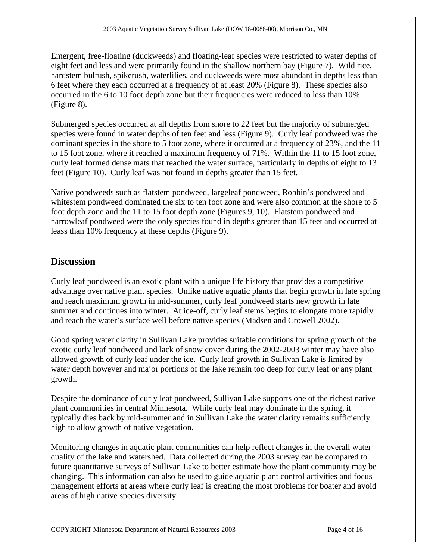Emergent, free-floating (duckweeds) and floating-leaf species were restricted to water depths of eight feet and less and were primarily found in the shallow northern bay (Figure 7). Wild rice, hardstem bulrush, spikerush, waterlilies, and duckweeds were most abundant in depths less than 6 feet where they each occurred at a frequency of at least 20% (Figure 8). These species also occurred in the 6 to 10 foot depth zone but their frequencies were reduced to less than 10% (Figure 8).

Submerged species occurred at all depths from shore to 22 feet but the majority of submerged species were found in water depths of ten feet and less (Figure 9). Curly leaf pondweed was the dominant species in the shore to 5 foot zone, where it occurred at a frequency of 23%, and the 11 to 15 foot zone, where it reached a maximum frequency of 71%. Within the 11 to 15 foot zone, curly leaf formed dense mats that reached the water surface, particularly in depths of eight to 13 feet (Figure 10). Curly leaf was not found in depths greater than 15 feet.

Native pondweeds such as flatstem pondweed, largeleaf pondweed, Robbin's pondweed and whitestem pondweed dominated the six to ten foot zone and were also common at the shore to 5 foot depth zone and the 11 to 15 foot depth zone (Figures 9, 10). Flatstem pondweed and narrowleaf pondweed were the only species found in depths greater than 15 feet and occurred at leass than 10% frequency at these depths (Figure 9).

## **Discussion**

Curly leaf pondweed is an exotic plant with a unique life history that provides a competitive advantage over native plant species. Unlike native aquatic plants that begin growth in late spring and reach maximum growth in mid-summer, curly leaf pondweed starts new growth in late summer and continues into winter. At ice-off, curly leaf stems begins to elongate more rapidly and reach the water's surface well before native species (Madsen and Crowell 2002).

Good spring water clarity in Sullivan Lake provides suitable conditions for spring growth of the exotic curly leaf pondweed and lack of snow cover during the 2002-2003 winter may have also allowed growth of curly leaf under the ice. Curly leaf growth in Sullivan Lake is limited by water depth however and major portions of the lake remain too deep for curly leaf or any plant growth.

Despite the dominance of curly leaf pondweed, Sullivan Lake supports one of the richest native plant communities in central Minnesota. While curly leaf may dominate in the spring, it typically dies back by mid-summer and in Sullivan Lake the water clarity remains sufficiently high to allow growth of native vegetation.

Monitoring changes in aquatic plant communities can help reflect changes in the overall water quality of the lake and watershed. Data collected during the 2003 survey can be compared to future quantitative surveys of Sullivan Lake to better estimate how the plant community may be changing. This information can also be used to guide aquatic plant control activities and focus management efforts at areas where curly leaf is creating the most problems for boater and avoid areas of high native species diversity.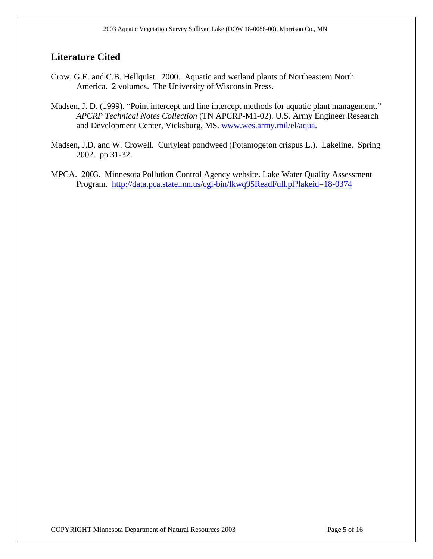## **Literature Cited**

- Crow, G.E. and C.B. Hellquist. 2000. Aquatic and wetland plants of Northeastern North America. 2 volumes. The University of Wisconsin Press.
- Madsen, J. D. (1999). "Point intercept and line intercept methods for aquatic plant management." *APCRP Technical Notes Collection* (TN APCRP-M1-02). U.S. Army Engineer Research and Development Center, Vicksburg, MS. www.wes.army.mil/el/aqua.
- Madsen, J.D. and W. Crowell. Curlyleaf pondweed (Potamogeton crispus L.). Lakeline. Spring 2002. pp 31-32.
- MPCA. 2003. Minnesota Pollution Control Agency website. Lake Water Quality Assessment Program. <http://data.pca.state.mn.us/cgi-bin/lkwq95ReadFull.pl?lakeid=18-0374>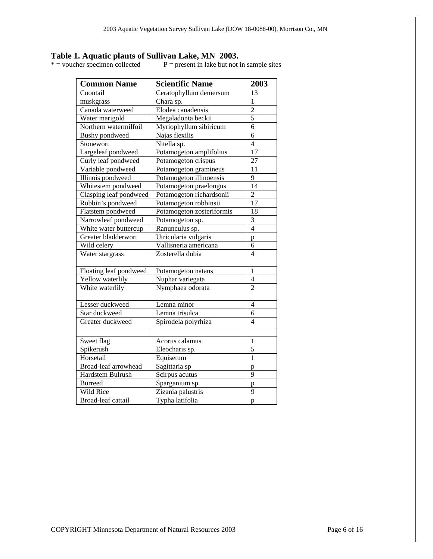# **Table 1. Aquatic plants of Sullivan Lake, MN 2003.**<br>\* = voucher specimen collected P = present in lake but not

 $P =$  present in lake but not in sample sites

| <b>Common Name</b>     | <b>Scientific Name</b>    | 2003           |
|------------------------|---------------------------|----------------|
| Coontail               | Ceratophyllum demersum    | 13             |
| muskgrass              | Chara sp.                 | $\mathbf{1}$   |
| Canada waterweed       | Elodea canadensis         | $\overline{c}$ |
| Water marigold         | Megaladonta beckii        | $\overline{5}$ |
| Northern watermilfoil  | Myriophyllum sibiricum    | 6              |
| Bushy pondweed         | Najas flexilis            | $\overline{6}$ |
| Stonewort              | Nitella sp.               | $\overline{4}$ |
| Largeleaf pondweed     | Potamogeton amplifolius   | 17             |
| Curly leaf pondweed    | Potamogeton crispus       | 27             |
| Variable pondweed      | Potamogeton gramineus     | 11             |
| Illinois pondweed      | Potamogeton illinoensis   | 9              |
| Whitestem pondweed     | Potamogeton praelongus    | 14             |
| Clasping leaf pondweed | Potamogeton richardsonii  | $\overline{2}$ |
| Robbin's pondweed      | Potamogeton robbinsii     | 17             |
| Flatstem pondweed      | Potamogeton zosteriformis | 18             |
| Narrowleaf pondweed    | Potamogeton sp.           | 3              |
| White water buttercup  | Ranunculus sp.            | $\overline{4}$ |
| Greater bladderwort    | Utricularia vulgaris      | $\mathbf{p}$   |
| Wild celery            | Vallisneria americana     | 6              |
| Water stargrass        | Zosterella dubia          | $\overline{4}$ |
|                        |                           |                |
| Floating leaf pondweed | Potamogeton natans        | 1              |
| Yellow waterlily       | Nuphar variegata          | 4              |
| White waterlily        | Nymphaea odorata          | $\overline{2}$ |
|                        |                           |                |
| Lesser duckweed        | Lemna minor               | $\overline{4}$ |
| Star duckweed          | Lemna trisulca            | 6              |
| Greater duckweed       | Spirodela polyrhiza       | $\overline{4}$ |
|                        |                           |                |
| Sweet flag             | Acorus calamus            | 1              |
| Spikerush              | Eleocharis sp.            | 5              |
| Horsetail              | Equisetum                 | $\overline{1}$ |
| Broad-leaf arrowhead   | Sagittaria sp             | p              |
| Hardstem Bulrush       | Scirpus acutus            | $\overline{9}$ |
| <b>Burreed</b>         | Sparganium sp.            | $\mathbf{p}$   |
| Wild Rice              | Zizania palustris         | 9              |
| Broad-leaf cattail     | Typha latifolia           | p              |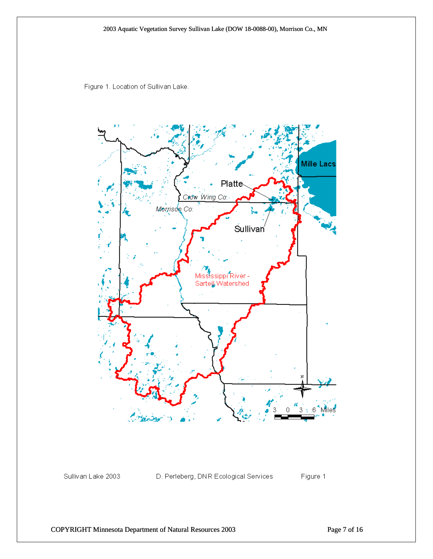

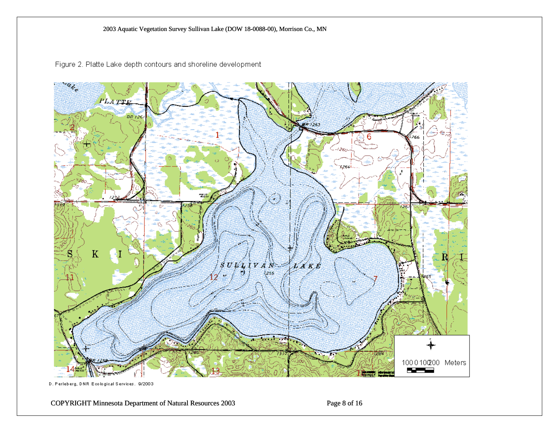



D. Perleberg, DNR Ecological Services. 9/2003

COPYRIGHT Minnesota Department of Natural Resources 2003 Page 8 of 16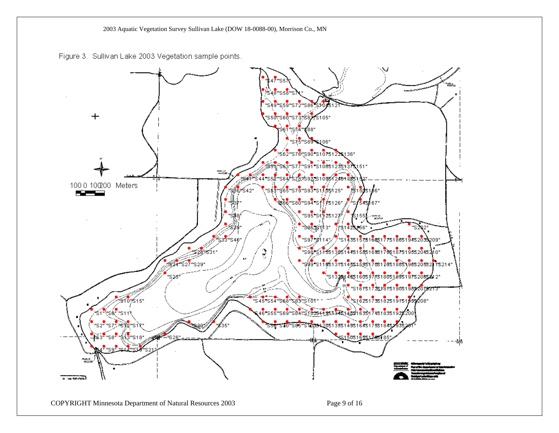2003 Aquatic Vegetation Survey Sullivan Lake (DOW 18-0088-00), Morrison Co., MN

Figure 3. Sullivan Lake 2003 Vegetation sample points.

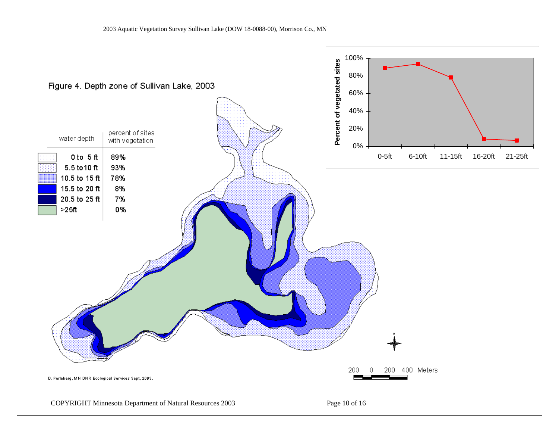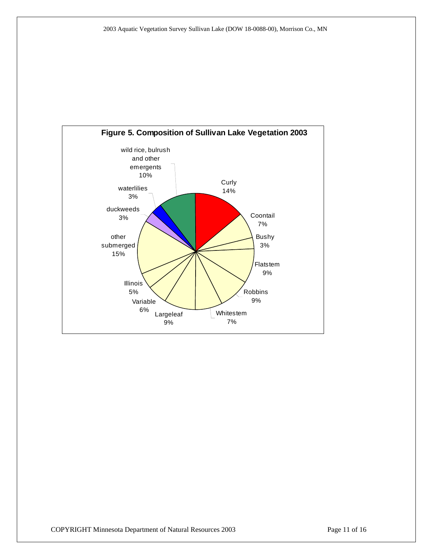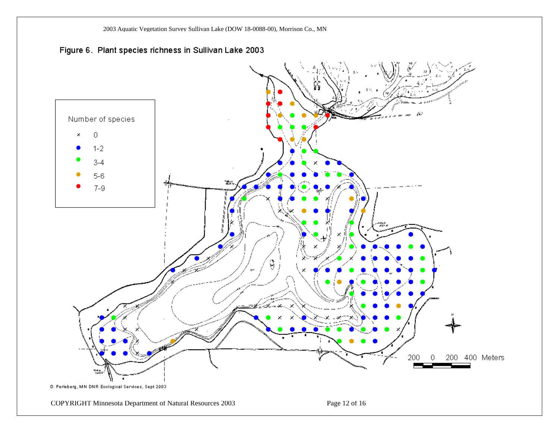2003 Aquatic Vegetation Survey Sullivan Lake (DOW 18-0088-00), Morrison Co., MN



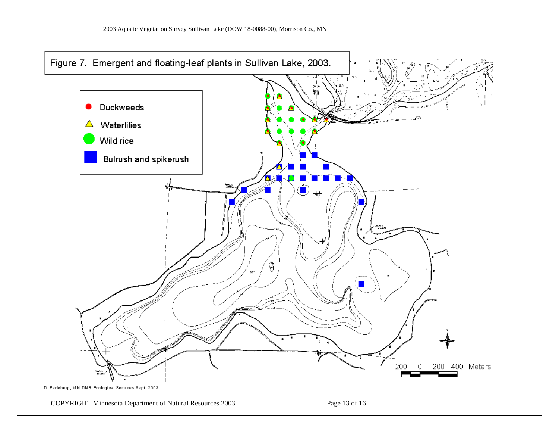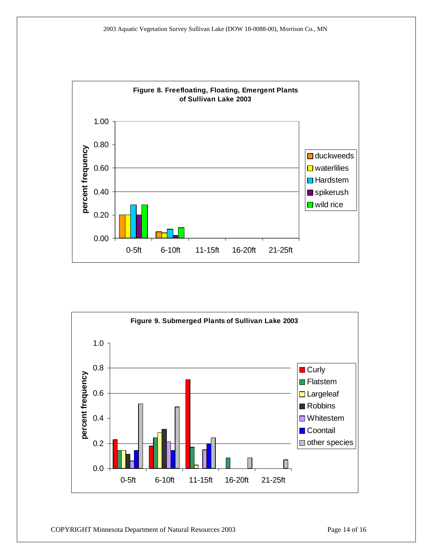

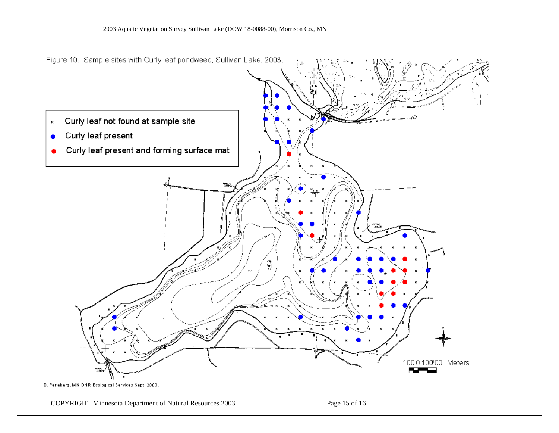

COPYRIGHT Minnesota Department of Natural Resources 2003 Page 15 of 16